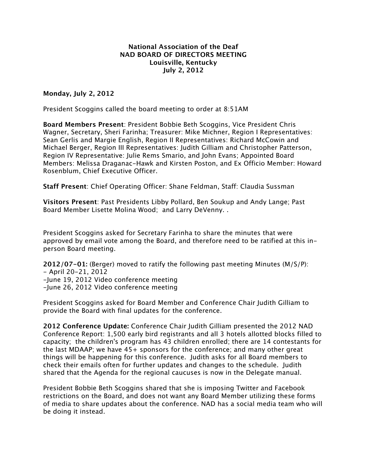## **National Association of the Deaf NAD BOARD OF DIRECTORS MEETING Louisville, Kentucky July 2, 2012**

## **Monday, July 2, 2012**

President Scoggins called the board meeting to order at 8:51AM

**Board Members Present**: President Bobbie Beth Scoggins, Vice President Chris Wagner, Secretary, Sheri Farinha; Treasurer: Mike Michner, Region I Representatives: Sean Gerlis and Margie English, Region II Representatives: Richard McCowin and Michael Berger, Region III Representatives: Judith Gilliam and Christopher Patterson, Region IV Representative: Julie Rems Smario, and John Evans; Appointed Board Members: Melissa Draganac-Hawk and Kirsten Poston, and Ex Officio Member: Howard Rosenblum, Chief Executive Officer.

**Staff Present**: Chief Operating Officer: Shane Feldman, Staff: Claudia Sussman

**Visitors Present**: Past Presidents Libby Pollard, Ben Soukup and Andy Lange; Past Board Member Lisette Molina Wood; and Larry DeVenny. .

President Scoggins asked for Secretary Farinha to share the minutes that were approved by email vote among the Board, and therefore need to be ratified at this inperson Board meeting.

**2012/07-01:** (Berger) moved to ratify the following past meeting Minutes (M/S/P): - April 20-21, 2012 -June 19, 2012 Video conference meeting -June 26, 2012 Video conference meeting

President Scoggins asked for Board Member and Conference Chair Judith Gilliam to provide the Board with final updates for the conference.

**2012 Conference Update:** Conference Chair Judith Gilliam presented the 2012 NAD Conference Report: 1,500 early bird registrants and all 3 hotels allotted blocks filled to capacity; the children's program has 43 children enrolled; there are 14 contestants for the last MDAAP; we have 45+ sponsors for the conference; and many other great things will be happening for this conference. Judith asks for all Board members to check their emails often for further updates and changes to the schedule. Judith shared that the Agenda for the regional caucuses is now in the Delegate manual.

President Bobbie Beth Scoggins shared that she is imposing Twitter and Facebook restrictions on the Board, and does not want any Board Member utilizing these forms of media to share updates about the conference. NAD has a social media team who will be doing it instead.